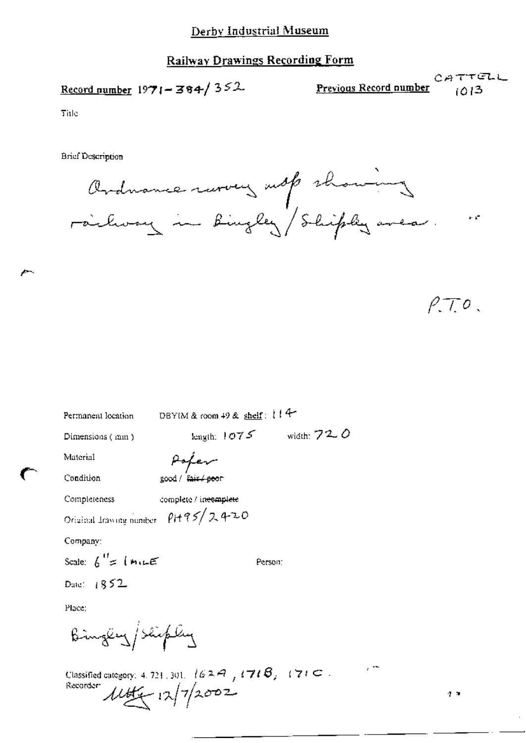## Railway Drawings Recording Form

Record number  $1971 - 384 / 352$ 

CATTELL Previous Record number 1013

Title

**Brief Description** 

Ordnance rarvey subp showing  $\cdot$   $\cdot$ 

 $\rho \tau$ .

| Permanent location                                    | DBYIM & room 49 & shelf: 114   |  |
|-------------------------------------------------------|--------------------------------|--|
| Dimensions (mm)                                       | width: $720$<br>length: $1075$ |  |
| Material                                              | Poper                          |  |
| Condition                                             | good / Fair / seer             |  |
| Completeness                                          | complete / incomplete          |  |
| Original Irawing number PH95/2420                     |                                |  |
| Company:                                              |                                |  |
| Scale: $h'' = (m \in \mathbb{R})$                     | Person:                        |  |
| Date: $1852$                                          |                                |  |
| Place:                                                |                                |  |
| Bingey/Shiply                                         |                                |  |
| Classified category: 4, 721, 201, $\pm$ 1.6, 2, $\pm$ | $171B$ $171C$ .                |  |

Recorder  $11/7/2002$ 

 $\mathbf{r}$ 

 $\epsilon^{-2\frac{1}{2}}$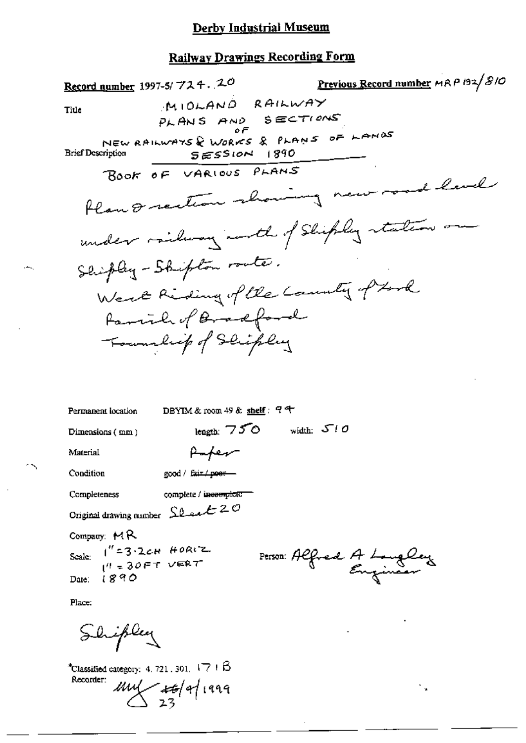# **Railway Drawings Recording Form**

| Record number 1997-5/ $724.20$                             |                                                              | Previous Record number MRP 132/810       |
|------------------------------------------------------------|--------------------------------------------------------------|------------------------------------------|
| Title                                                      | MIOLAND RAILWAY<br>PLANS AND SECTIONS                        |                                          |
| <b>Brief Description</b>                                   | NEW RAILWAYS & WORKS & PLANS OF LANDS<br><b>SESSION 1890</b> |                                          |
|                                                            | BOOK OF VARIOUS PLANS                                        |                                          |
|                                                            |                                                              | Plan & rection showing new road level    |
|                                                            |                                                              | under railway north of Shipley staten on |
|                                                            | Shipley - Shipton route.                                     |                                          |
|                                                            |                                                              | West Riding of the County of Look        |
|                                                            | Family of Bradford                                           |                                          |
|                                                            | Township of Schipley                                         |                                          |
|                                                            |                                                              |                                          |
| Permanent location                                         | DBYIM & room 49 & shelf: $94$                                |                                          |
| Dimensions (mm)                                            | length: $750$                                                | width: $\mathcal{S}$ / O                 |
| Material                                                   | Paper                                                        |                                          |
| Condition                                                  | good / fair / poer-                                          |                                          |
| Completeness                                               | complete / incomplete                                        |                                          |
| Original drawing number $\Omega$ and $\mathcal{L} \oslash$ |                                                              |                                          |
| Company: $MR$                                              |                                                              |                                          |

 $1''=3.2cH$  HORIZ Scale:  $10 - 30$ FT VERT  $1890$ Date:

Person: Alfred A Longley

÷.,

Place:

∸-.

 $\sim$ 

Shipley

\*Classified category:  $4.721,301,17.1\beta$ Recorder:  $\frac{\mu}{\sqrt{25}}$  23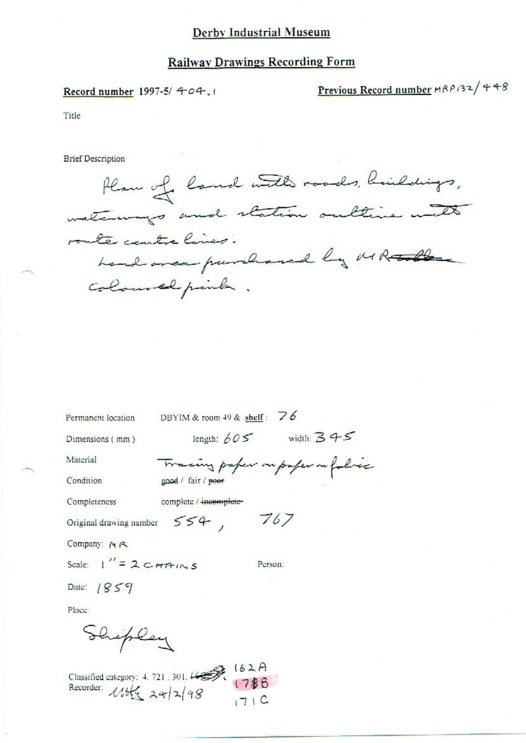### **Railway Drawings Recording Form**

#### Record number 1997-5/ 404.1

Previous Record number MRP132/448

Title

**Brief Description** 

Plan of land with roads, buildings, route contre lines. hand area purchased by MR tolle coloured peints.

Permanent location DBYIM & room 49 & shelf:  $\overline{76}$ 

 $554, 767$ 

Dimensions (mm)

length:  $605$  width:  $345$ 

Condition

Completeness

Material

Tracing paper on paper on folice good / fair / poor

complete / incomplete-

Original drawing number

Company:  $M \, R$ 

Scale:  $\frac{1}{1}$  = 2  $\frac{1}{2}$   $\frac{1}{2}$   $\frac{1}{2}$ 

Person:

Date:  $1859$ 

Place:

Shipley

Classified category: 4.721.301. 4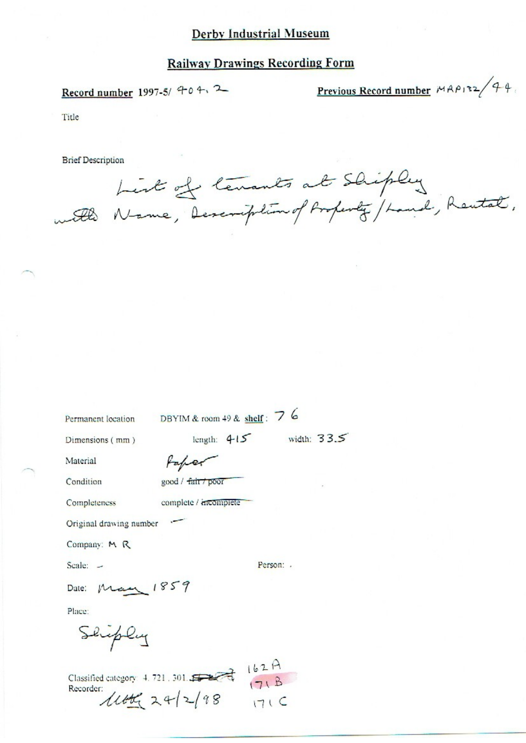### **Railway Drawings Recording Form**

Record number 1997-5/ 40 4, 2

Previous Record number  $MAP12/44$ 

Title

**Brief Description** 

List of tenants at Shipley with Name, Description of Property / Land, Rental,

Permanent location DBYIM & room 49 & shelf: 7 6

Dimensions (mm)

Faper

complete / incomplete

good / fair / poor

Condition

Material

Completeness

Original drawing number

Company: M R

Scale:  $-$ 

Person: .

length:  $415$  width:  $33.5$ 

Date: May 1859

Place:

Shiply

Classified category: 4.721.301.  $11606$  24/2/98 1716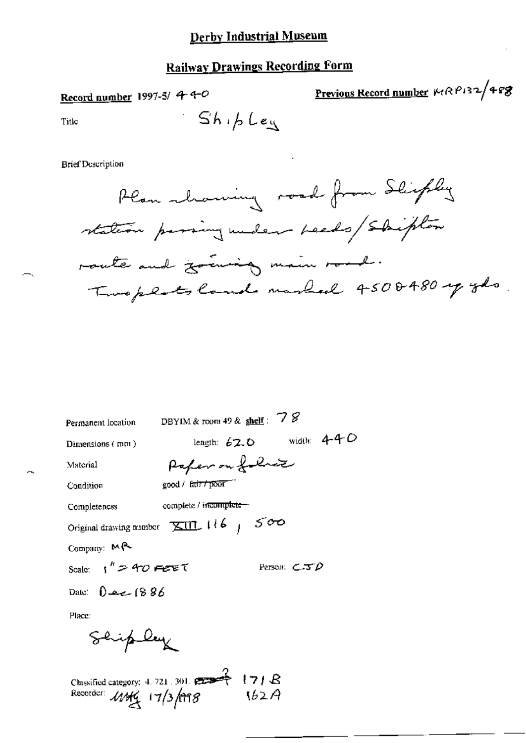# **Railway Drawings Recording Form**

 $Sh_1b$  Leg

Record number 1997-5/ 4-4-0

Previous Record number 14RP132/488

Title

**Brief Description** 



| Permanent location                                               | DBYIM & room 49 & shelf : $78$ |                               |
|------------------------------------------------------------------|--------------------------------|-------------------------------|
| Dimensions (mm)                                                  |                                | length: $620$ width: $4-4-0$  |
| Material                                                         | Paper on foliar                |                               |
| Condition                                                        | good / fair / poor             |                               |
| Completeness                                                     | complete / incomplete-         |                               |
| Original drawing number $\overline{\times}$ III, 116   $5\sigma$ |                                |                               |
| Company: MR                                                      |                                |                               |
| Scale: $\frac{1}{2}$ " $\approx$ 40 FeTE T                       |                                | Person: $\epsilon$ -37 $\rho$ |
| Date: $0$ and $(8.86)$                                           |                                |                               |
| Place:                                                           |                                |                               |
| Ship ley                                                         |                                |                               |
|                                                                  |                                |                               |

Classified category: 4. 721, 301.  $171B$ Recorder: 11/3/998  $162A$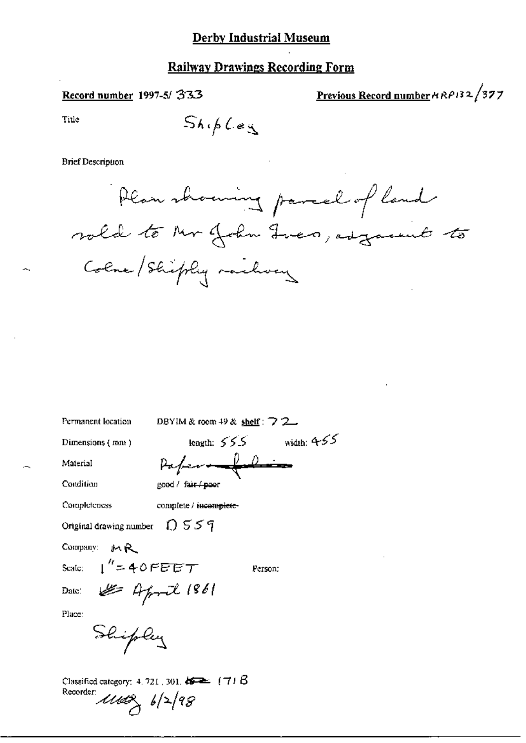### **Railway Drawings Recording Form**

#### Record number 1997-5/333

Previous Record number HRP132/377

Title

 $Sh(hLeg)$ 

#### **Brief Description**

Plan showing parcel of land vold to Mr John Fren, edgament to Colne Shiply railway

Permanent location

DBYIM & room 49 & shelf:  $\bigtriangledown$  2

length:  $555$ 

Dimensions (mm)

Paper - folio

Condition

Material

Completeness

complete / incomplete-

good / fair / poor

Original drawing number  $\bigcap$   $559$ 

Company: MR

Scale:

Date:

 $1''$ =40FEET Of April 1861

Person:

width:  $455$ 

Place:

Shipley

Classified category:  $4.721$ ,  $301$ .  $452$  (71 B) Recorder:

 $1168, 6/2/98$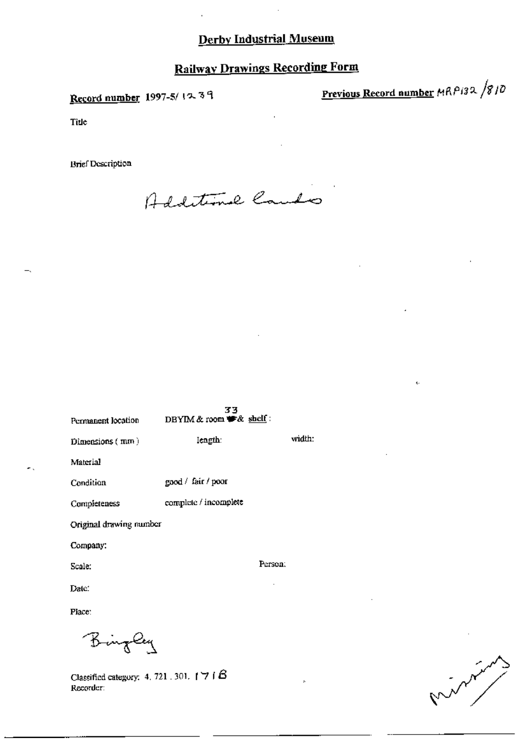# **Railway Drawings Recording Form**

Record number 1997-5/1239

Previous Record number MRP132 /810

ē.

Title

**Brief Description** 

Additional Caudo

77

| Permanent location      | 39<br>DBYIM & room $#$ & shelf: |         |
|-------------------------|---------------------------------|---------|
| Dimensions $(mm)$       | length:                         | width:  |
| Material                |                                 |         |
| Condition               | good / fair / poor              |         |
| Completeness            | complete / incomplete           |         |
| Original drawing number |                                 |         |
| Company:                |                                 |         |
| Scale:                  |                                 | Person: |
| Date:                   |                                 |         |
| Place:                  |                                 |         |

Bingley

Classified category: 4, 721, 301,  $\uparrow$  7 ( $\upbeta$ Recorder: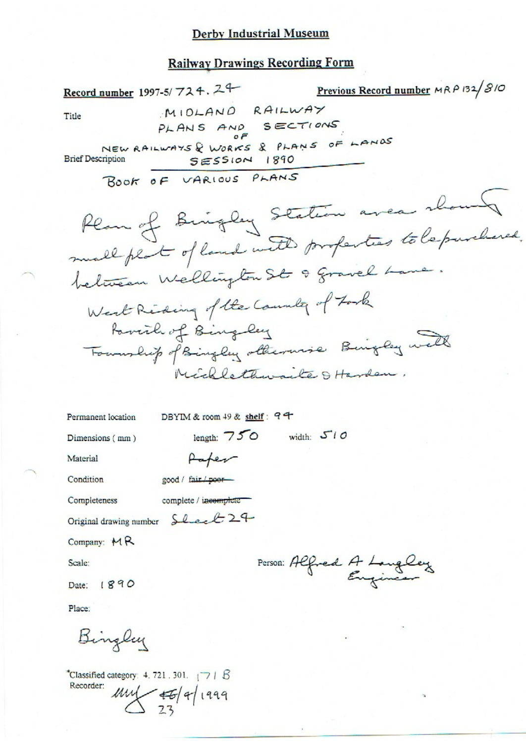#### **Railway Drawings Recording Form**

Previous Record number MRP 132/810 Record number 1997-5/724.24 MIDLAND RAILWAY Title PLANS AND SECTIONS  $0F$ NEW RAILWAYS & WORKS & PLANS OF LANDS **Brief Description** SESSION 1890 BOOK OF VARIOUS PLANS Plan of Bringley Station area shown between Wellington St 9 gravel Lane. West Riding of the Country of Fork Favorth of Bingley Foundrip of Bingley otherwise Bingley well Michlethwaite & Harden. DBYIM & room 49 & shelf: 94 Permanent location length:  $750$  width:  $510$ Dimensions (mm) Paper Material Condition good / fair / poorcomplete / incomplete Completeness Original drawing number Sheet 24 Company:  $MR$ Person: Alfred A Languey Scale: Date: 1890 Place: Bingley

"Classified category: 4.721.301.  $\sqrt{7}$  |  $\beta$ Recorder:  $\n *mu*  $\left| \frac{46}{23} \right|$  1999$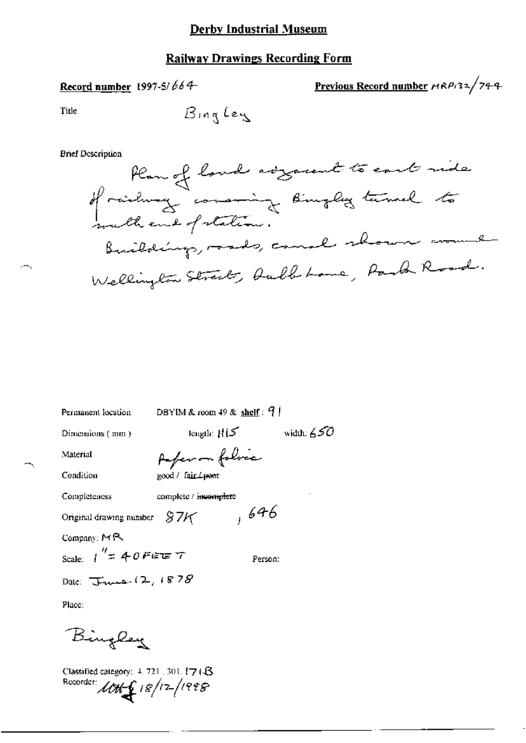### **Railway Drawings Recording Form**

# Record number 1997-5/664

Previous Record number  $r^{1/2/2}$ /744

Title

BingLey

**Brief Description** 



Permanent location Dimensions (mm)

length:  $H(S)$ width:  $\acute{\rm s}$  50

DBYIM & room 49 & shelf:  $9$  |

Material

Condition

Completeness

Auferson folice good / fair / poor

complete / incomplete

Original drawing number  $87<sup>k</sup>$  , 646

Company: MR

Person:

Date:  $T_{\text{true}}(2,1878)$ 

Scale:  $1'' = 40$  Fere  $7$ 

Place:

Bingley

Classified category: 4, 721, 301, 174 B Recorder:  $100 + 6 = 18/12/1998$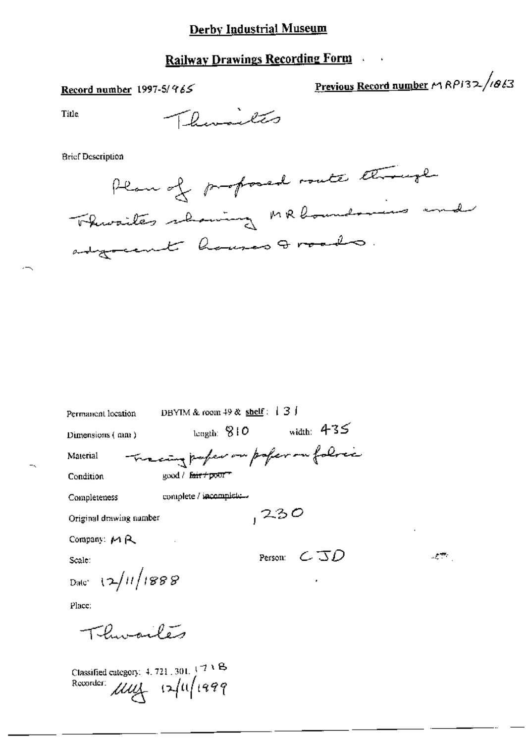# **Railway Drawings Recording Form**

# Record number 1997-5/965

Previous Record number MRP132/1013

 $\mathcal{F}^{\text{max}}$  .

**Title** 

 $\overline{\phantom{a}}$ 

Thursday

**Brief Description** 

| Plan of proposed route though      |  |
|------------------------------------|--|
| Throates showing MR boundaries and |  |
| edgreent houses troods.            |  |

| Permanent location           | DBYIM & room 49 & shelf: $\downarrow$ 3 J |
|------------------------------|-------------------------------------------|
| Dimensions (mm)              | width: $435$<br>length: $810$             |
| Material                     | Tracing paper on poper on folice          |
| Condition                    | good / fair / poor"                       |
| Completeness                 | complete / incomplete                     |
| Original drawing number      | 230                                       |
| Company: $M R$               |                                           |
| Scale:                       | Person: $\subset$ $\Im D$                 |
| Date: $\frac{2}{12}$ 11/1888 |                                           |
| Place:                       |                                           |
| یہ ہیں۔                      |                                           |

Classified category: 4, 721, 301,  $(7)^8$ <br>Recorder:  $\mu\mu$   $(2/11/199)$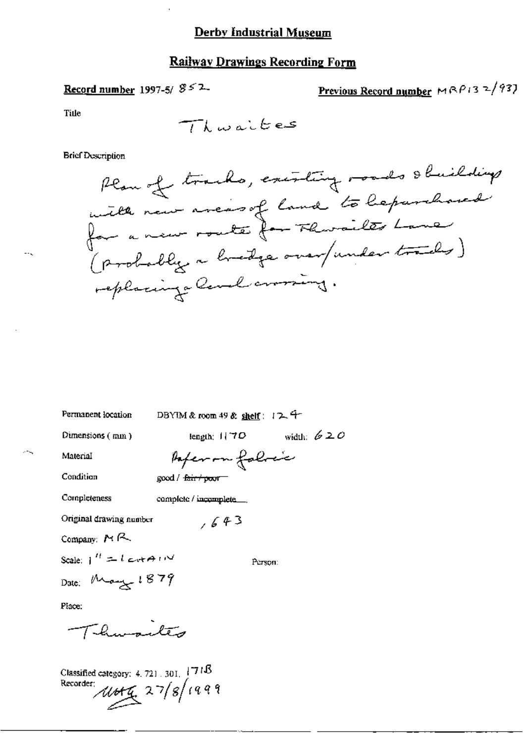# Record number 1997-5/ $852$

 $\cdot$ 

Previous Record number 
$$
MRP/3
$$
  $\frac{2}{93}$ 

**Tille** 

 $\ddotsc$ 

**Brief Description** 

| Permanent location             | DBYIM & room 49 & shelf: $12.9$ |              |
|--------------------------------|---------------------------------|--------------|
| Dimensions $(mn)$              | length; $1170$                  | width: $620$ |
| Material                       | Paper on follow                 |              |
| Condition                      | good / <del>fair/ poo</del> r-  |              |
| Completeness                   | complete / incomplete $\Box$    |              |
| Original drawing number        | ,643                            |              |
| Company: $M \sim$              |                                 |              |
| Scale: $1'' = 1$ crosser $1''$ |                                 | Person:      |
| Date: $M_{\text{p}}$ 1879      |                                 |              |
| Place:                         |                                 |              |
| Thursites                      |                                 |              |

Classified category: 4.721.301. 1718<br>Recorder:<br> *Uto*  $\frac{7}{4}$  27/8/1999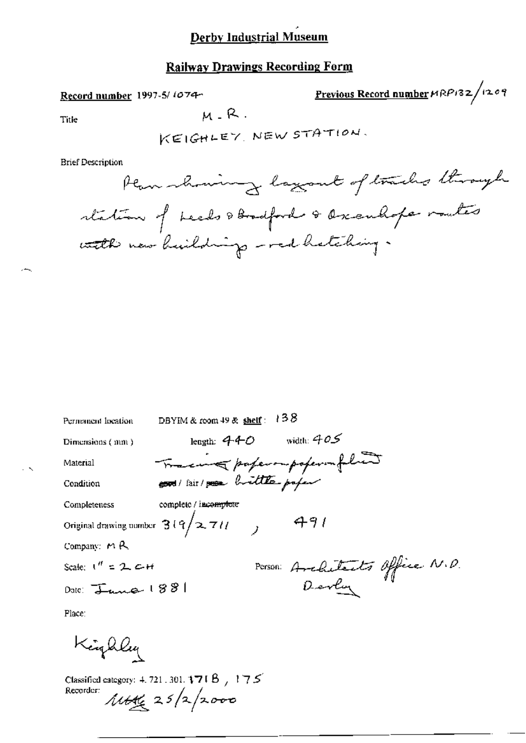# Railway Drawings Recording Form

#### Record number 1997-5/1074-

Previous Record number MRP132/1209

Title  $M - R$ .

 $\sim$ 

KEIQHLE7 NEW 5TH-Tron.

**Brief Description** 

Wwzm f L.....L1»@~w%M1,@,@4MW@¢»-/Zia /V-<,1L@\.¢/CQ@»~J»-]~

| Permanent location                   | DBYIM & room $49$ & shelf:           | 138                                       |
|--------------------------------------|--------------------------------------|-------------------------------------------|
| Dimensions (mm)                      | length: 440                          | width: $405$                              |
| Material                             | Trace & paper out poper in februar   |                                           |
| Condition                            | cod/ fair/ poor brittle profer       |                                           |
| Completeness                         | complete / incomplete                |                                           |
|                                      | Original drawing number $3(9/2.711)$ | 491                                       |
| Company: $M$ $R$                     |                                      |                                           |
| Scale: $1'' = 2C +$                  |                                      |                                           |
| $_{\text{Date}}$ $\frac{1881}{1000}$ |                                      | Person: Architects Office N.D.<br>Develop |
| Place:                               |                                      |                                           |

Kinghley

Classified category: 4, 721 , 301,  $171B$  /  $175'$ Recorder:  $\mu_{\mathcal{U}_\xi}$  25/2/2000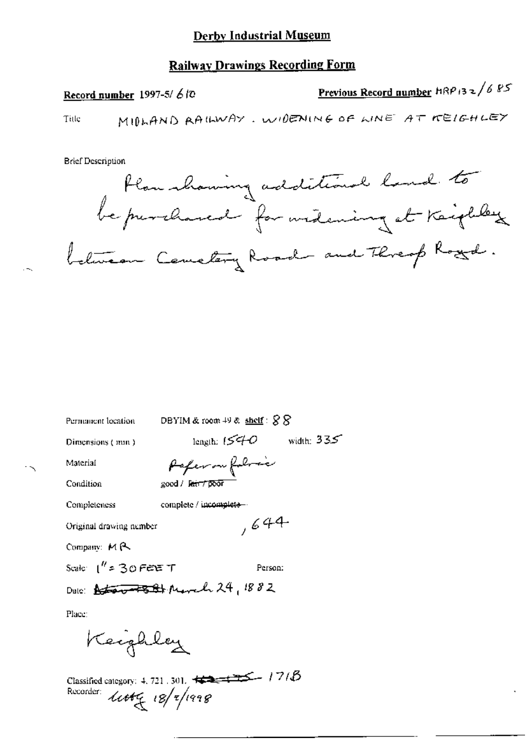Record number 1997-5/ $6$ 10

Previous Record number HRP 132/685

Title

**Brief Description** 



Permanent location

DBYIM & room  $49$  & shelf:  $88$ 

Dimensions (mm)

length:  $1540$  width:  $335$ 

 $,644$ 

Material Condition

Paper on follow good / latt TDOT

Completeness

complete / incomplete-

Original drawing nember

Company: MR

Scale:  $1''$  = 30 FEE T Person:

Date: Attor 7581 March 24, 1882

Place:

Keighley

Classified category: 4, 721, 301,  $\overbrace{\leftarrow}$   $\overbrace{\leftarrow}$   $\overbrace{\leftarrow}$  / 7/ $\overline{\beta}$ Recorder:  $444\frac{18}{4}$ 18/2/1998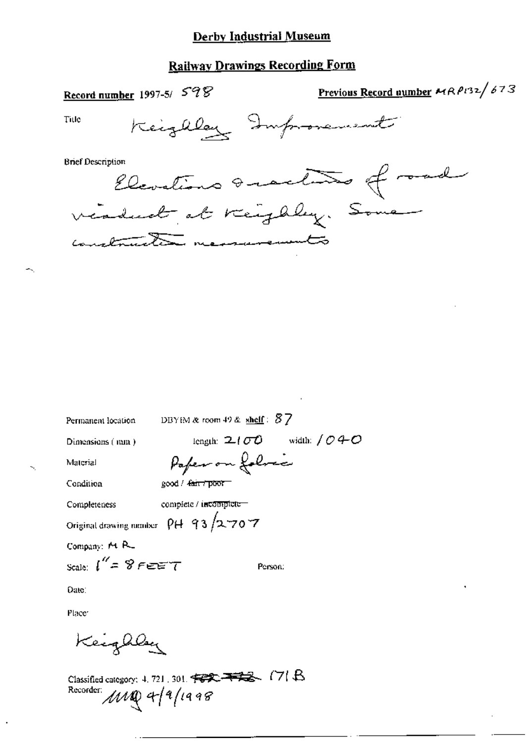# **Railway Drawings Recording Form**

Record number 1997-5/ 598

Previous Record number MRP132/673

Title

Keizaley Improvement

**Brief Description** 

Elevations Quartito of and viadual at reighly. Some necessarements  $\overline{(\overline{a})}$ 

DBYIM & room 49 &  $\text{shelf}: \mathcal{B}$   $7$ Permanent location length:  $2100$  width:  $040$ Dimensions (nun.) Paper on folocce Material Condition good / fair / poor

complete / incomplete-Completeness

Original drawing number  $\rho$  (+ 93/2-70-7

Company: M R Scale:  $\int_{0}^{\infty}$  = 8 FEET

Person:

Date:

Place<sup>®</sup>

Kecqaley

Classified category: 4, 721, 301. +222-+222- (7) B Recorder:  $MNQ$  4/9/1998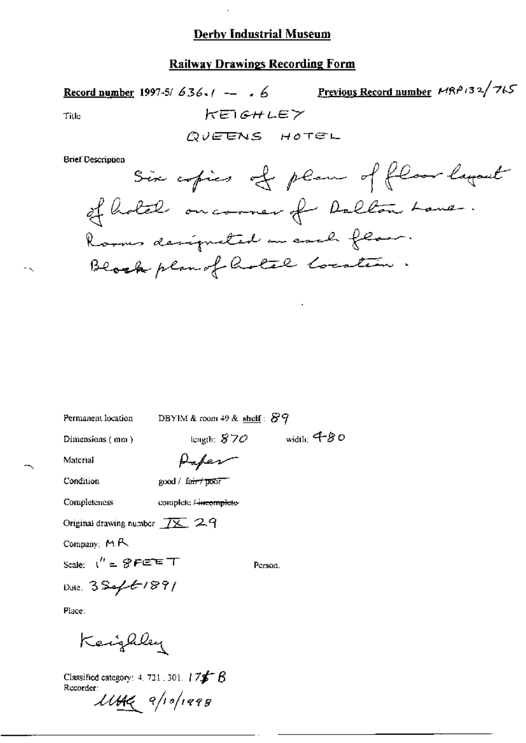#### **Railway Drawings Recording Form**

Previous Record number MRP132/715 Record number 1997-5/636.  $\ell \rightarrow 6$ KEIGHLEY Title QUEENS HOTEL **Brief Description** Six copies of plan of floor layant of hotel on correr of Dollar Lane.

Permanent location

DBYIM & room 49 & shelf:  $89$ 

Dimensions (mm)

length:  $870$  width: 480

Person.

Material

Condition

good / fairt pont

Completeness

complete <del>/ incomplete</del>

Paper

Original drawing number  $\overline{IX}$  29

Company: MR

Scale:  $t'' = \mathcal{D}$ FEET

Date:  $3546/89/$ 

Place:

Kengaley

Classified category: 4, 721, 301,  $175^{\circ}$   $8$ Recorder:

 $\mu_{\mathcal{H}}$  a/io/1998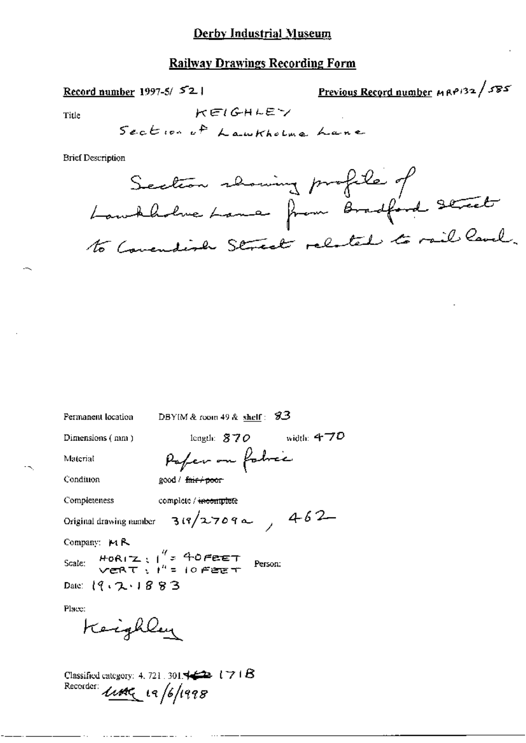#### **Railway Drawings Recording Form**

Record number 1997-5/ $52$ 

Previous Record number  $MRP/32$  /  $S55$ 

Title

Section of Lawkhelma Lane

KEIGHLEY

**Brief Description** 



Permanent location

DBYIM & room 49 & shelf:  $93$ 

Dimensions (mm)

length:  $870$  width:  $470$ 

Material

Condition

Paper on fabric good / fair+poor

Completeness complete / incomplete

Original drawing number  $319/27099$ 

Company: MR

 $H_0R_1Z$ ;  $\frac{q}{r}$  = 40 Feet<br>vert;  $t^n = 10$  Feet Scale: Person: Date:  $(9.2.1883)$ 

Place:

Keighley

Classified category: 4, 721, 301,  $\leftrightarrow$  171 $\beta$ Recorder: Little 19/6/1998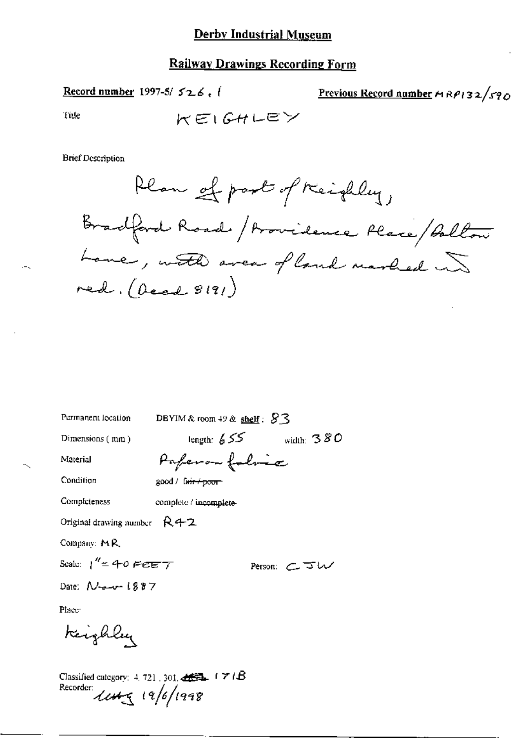Record number 1997-5/ $526.$ 

Previous Record number  $A$ RP132/590

Tule

$$
\mathcal{KE}(\mathcal{GHLEY}
$$

**Brief Description** 

Plan of part of Keighley, Bradford Road / Providence Place / Bolton Love, with avea of land marked in  $red. (best 8191)$ 

Permanent location

DBYIM & room 49 & shelf:  $83$ 

Dimensions (mm)

length:  $655$  width:  $380$ Paperon folice

Condition

Completeness

Material

good / fair + poor

complete / incomplete-

Original drawing number  $R42$ 

Company: MR

Scale:  $1'' = 40$  FeET

Person: CJU

Date:  $N$ -a-v- $1887$ 

Place<sup>-</sup>

Keighley

Classified category: 4, 721, 301,  $\triangleleft$   $\triangleq$   $\triangleq$   $\triangleq$   $\triangleq$ Recorder:  $1145$   $(9/1998)$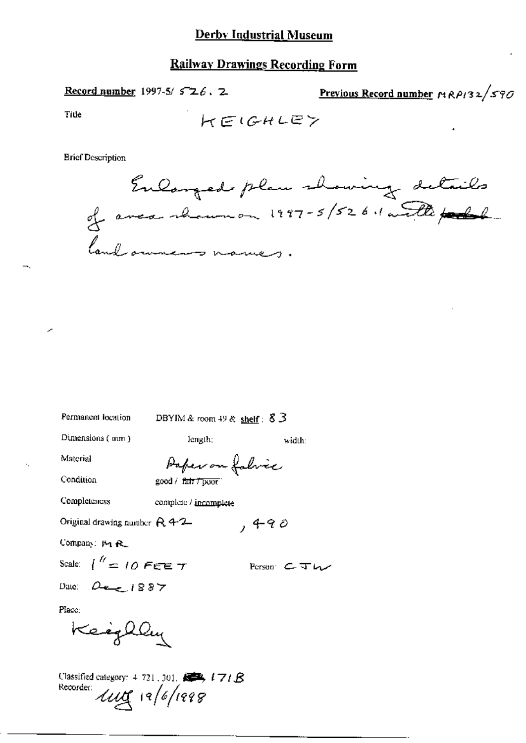Record number 1997-5/ $526.2$ Previous Record number  $r_1R\rho_132/\sqrt{570}$ Title HEIGHLEY

**Brief Description** 

Enlanged plan showing details land owners names.

width:

Person CTW

 $,490$ 

Permanent location

DBYIM & room 49 & shelf:  $83$ 

Dimensions (mm)

length;

Material

Paper on fabric

Condition

good / fair 7 poor

**Completeness** complete / incomplete

Original drawing number  $R$  4-2

Company: M R.

Scale:  $1^{\prime\prime}$  = 10 FEE T

Date:  $Q_{\text{max}}$ , 1887

Place:

Keighley

Classified category: 4-721, 301. 5 171 8 Recorder Luig 19/6/1998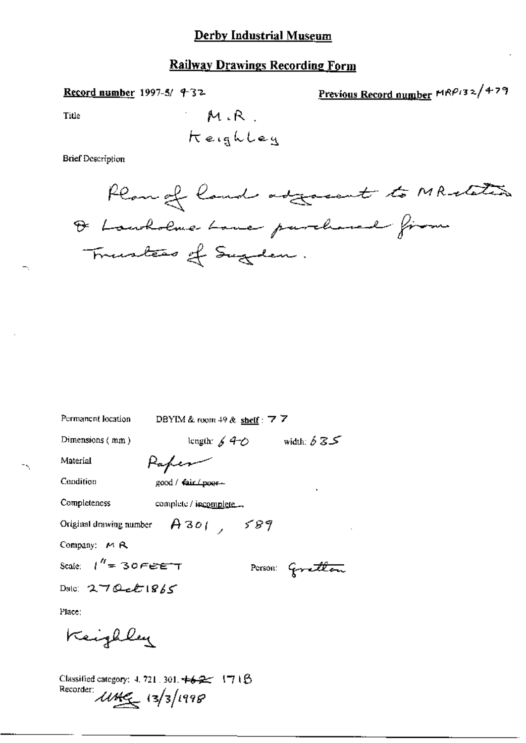## **Railway Drawings Recording Form**

Record number 1997-5/ 432

Previous Record number MRP132/479

Title

**Brief Description** 



| Permanent location<br>DBYIM & room $49$ & shelf: 7 7                                          |
|-----------------------------------------------------------------------------------------------|
| length: $640$ width: $635$<br>Dimensions $(mm)$                                               |
| Material<br>Kapes                                                                             |
| Condition<br>good / fair (poor-                                                               |
| Completeness<br>complete / incomplete                                                         |
| Original drawing number $A301$ , 589                                                          |
| Company: $M$ $R$                                                                              |
| Scale: $1'' = 30FEET$<br>Person: Govetlan                                                     |
| Date: $270$ ck $1865$                                                                         |
| Place:                                                                                        |
| Keighly                                                                                       |
| Classified category: 4, 721, 301, $\pm 6.2$ (7) 1 $\beta$<br>Recorder:<br>$11449 - 13/3/1998$ |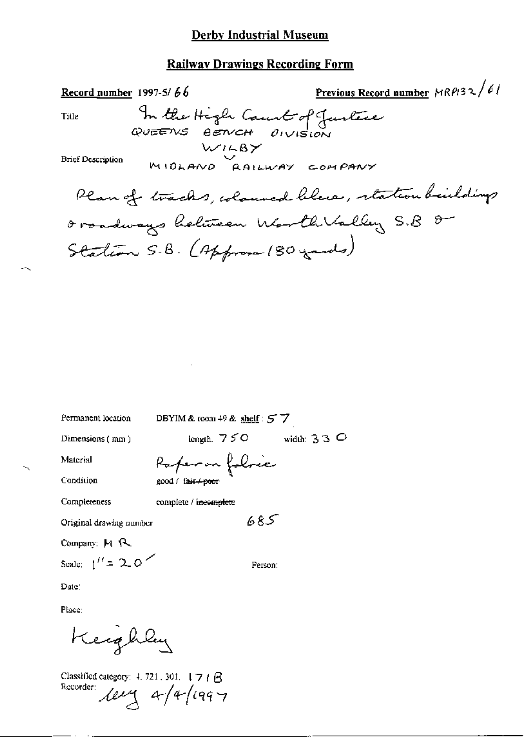#### **Railway Drawings Recording Form**

Previous Record number MRPI32/61 Record number 1997-5/ $66$ In the High Caunt of Justice Title WILBY **Brief Description** MIDLAND RAILWAY COMPANY Plan of tracks, coloured blue, retation buildings Oroadways heliteen Worth Valley S.B O Station S.B. (Approx 180 yards)

Permanent location

DBYIM & room 49 & shelf:  $57$ 

Dimensions (mm)

length,  $750$  width:  $330$ 

685

Person:

Material

Raperon folre good / fair+poor

Condition

Completeness complete / ineomplete

Original drawing number

Company: M R

Scale:  $1'' = 20$ 

Date:

Place:

Keephly

Classified category:  $\pm$  721, 301,  $\pm$  7  $\pm$   $\triangle$ Recorder:  $\text{deg } 4/4/1997$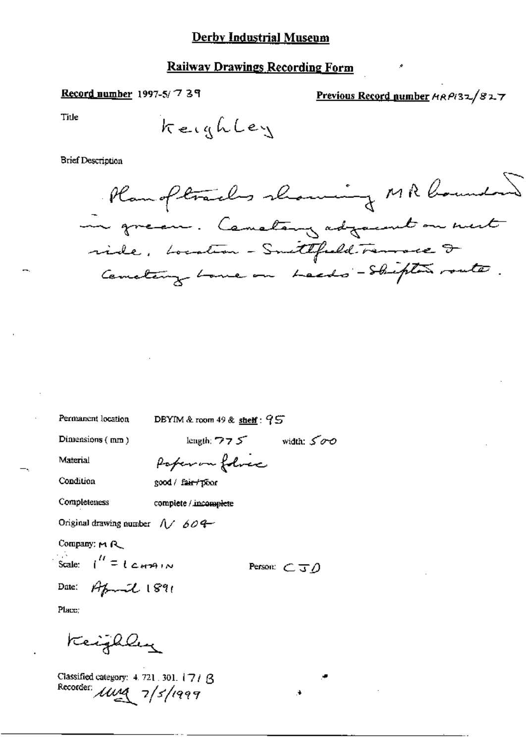#### **Railway Drawings Recording Form**

#### Record number 1997-5/739

Previous Record number HRPI32/827

Title

**Brief Description** 

Rangltraches showing MR bounded in green. Constany adjacent on ment ride, Location - Smittfield. Tennace I Cemetery Lone on Leeds - Shipter route.

Permanent location

DBYIM & room  $49$  &  $\frac{\text{sheff}}{2}$ :  $95$ 

Dimensions (mm)

length;  $775$  width:  $500$ 

Person:  $\subset \neg \neg$ 

Material

Condition Completeness

complete / incomplete

Original drawing number  $\sqrt{7/60}$ 

Company: MR

Scal

$$
|e: |f| = |e_{H}A| \wedge
$$

$$
D_{\text{data}}
$$

$$
\mathbf{A} = \mathbf{A} \mathbf{A}
$$

Date: 
$$
Arct1891
$$

Place:

Keijhley

Classified category: 4.721.301. 171 B Recorder: *Illya* 7/5/1999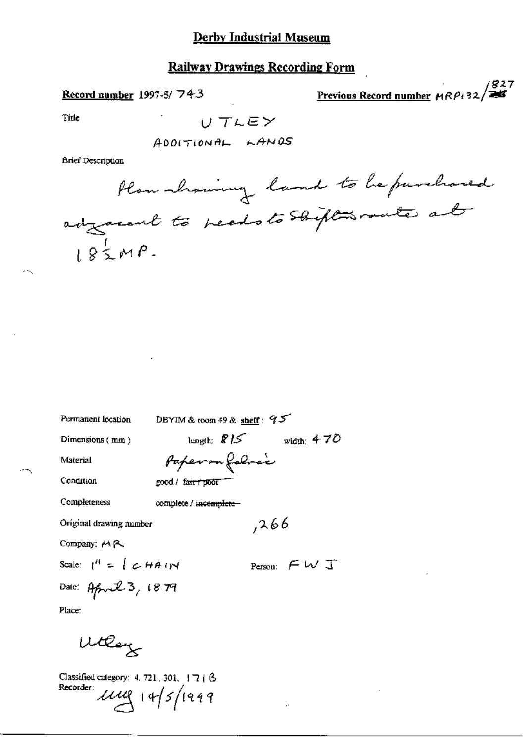## Railway Drawings Recording Form

Record number 1997-5/743

 $\frac{1827}{255}$ Previous Record number  $HRP$ +32/

Title

 $\sigma$  in

$$
U\subset\mathcal{T}\cup\mathsf{E}\mathcal{V}
$$

**Brief Description** 

Permanent location

DBYIM & room 49 & shelf:  $95$ 

Dimensions (mm)

length:  $\bigcirc$  /5 width: 470 Paper on following

Condition

Material

good / fair / poor

Completeness

complete / incomplete-

Original drawing number

Company: MR

Scale:  $\binom{n}{k} = \binom{n}{k}$   $\in$  HA (rX

Person:  $\subset \cup$  J

 $,266$ 

Date: April 3, 1879 Place:

Wollay

Classified category: 4, 721, 301, 17 | B Recorder  $\mu$  $\mu$  | 4/5/1999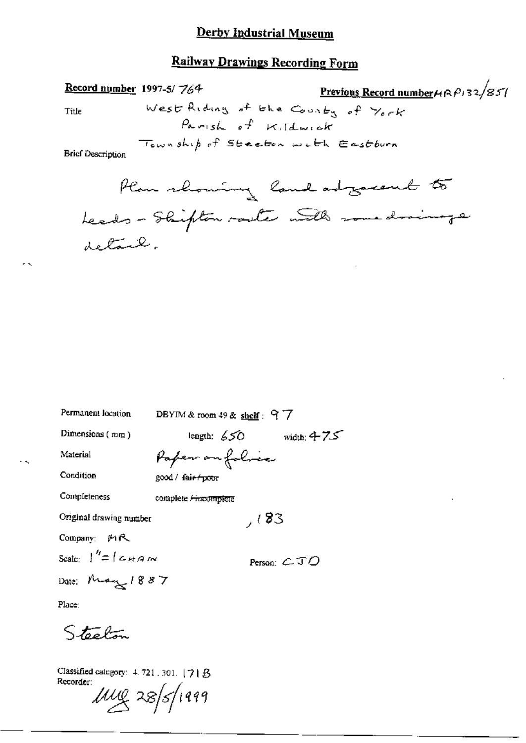# **Railway Drawings Recording Form**

Previous Record number $\mu$ R $\mu$ 32/851 Record number 1997-5/764 West Riding of the County of York Title Parish of Kildwick Township of Steeton with Eastburn **Brief Description** Plan showing land adjacent to

| Permanent location                  | DBYIM & room $49$ & shelf: 97                 |
|-------------------------------------|-----------------------------------------------|
| Dimensions $(mn)$                   | length: $650 -$<br>width: $475$               |
| Material                            | Paper on folice                               |
| Condition                           | good / fair poor                              |
| Completeness                        | complete <del>/ incomplete</del>              |
| Original drawing number             | 7(83)                                         |
| Company: <i>四</i> 尺                 |                                               |
| Seale: $\int''=\int$ $\epsilon$ HAM | Person: $\mathcal{L} \mathcal{I} \mathcal{D}$ |
| Date: May 1887                      |                                               |

Place:

 $\sim$ 

Steelon

Classified category: 4, 721, 301, [7] B Recorder:

 $1000 \times 28$ /1999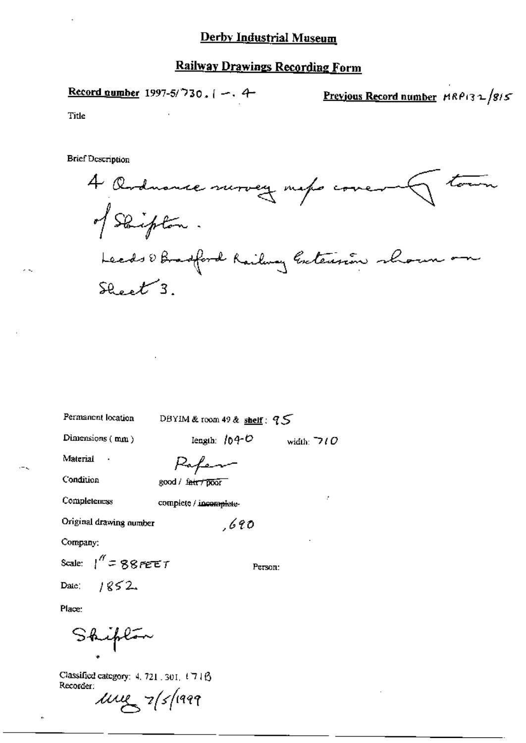Record quumber 1997-5/730, 
$$
[-, 4]
$$

Previous Record number  $MRP(32/85)$ 

Title

**Brief Description** 

4 Octuance survey met cover<br>of Skipton. Leads & Bradford Railway Gateusian shown on  $S_{back}$ 3.

Permanent location

DBYIM & room 49 & shelf:  $95$ 

Dimensions (mm)

length:  $104 - C$ width:  $\neg$  ( O

Person:

Material

Paper

Condition

good / fatt / poor

Completeness

complete / incomplete-

Original drawing number

 $,690$ 

Company:

Scale:  $1'' = 88$  PEET

 $1852$ Date:

Place:

Shipton

Classified category: 4, 721 . 301, 1716 Recorder:

 $\mu$  $\mu$   $\alpha$   $\beta$  /1999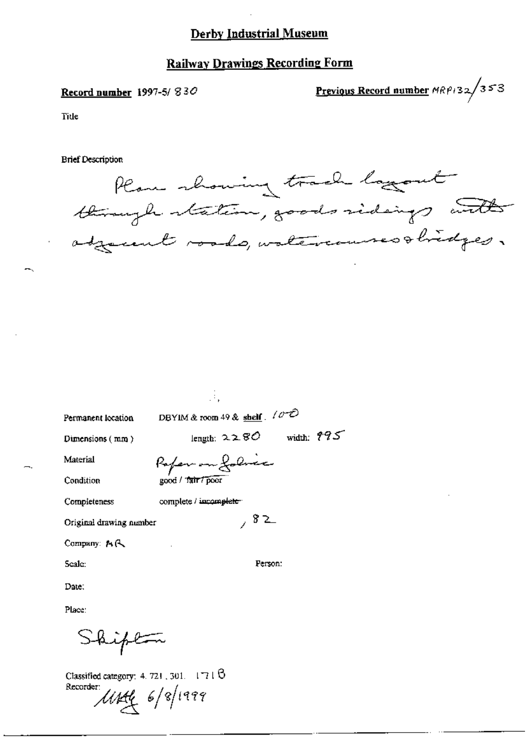#### **Railway Drawings Recording Form**

#### Record number 1997-5/830

Previous Record number  $MRP/32/353$ 

Title

**Brief Description** 



| Permanent location |  |
|--------------------|--|
|                    |  |

DBYIM & room 49 & shelf.  $10^{-2}$ 

Dimensions (mm)

Pofer on folice

Ġ.

Condition

Material

Completeness

complete / incomplete

good / Tair / poor

Original drawing number

Company: A.C.

Seale:

Person:

 $, 82$ 

length:  $2280$  width:  $775$ 

Place:

Date:

hipton

Classified category: 4, 721, 301,  $-1718$ Recorder Usef 6/8/1999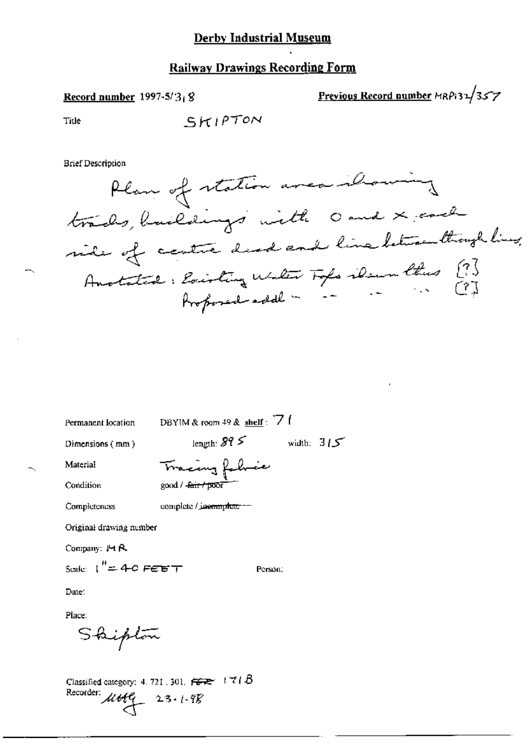# **Railway Drawings Recording Form**

### Record number  $1997-5/3$ <sub>1</sub>8

Previous Record number MRP132/357

Title

SKIPTON

**Brief Description** 

Permanent location

DBYIM & room 49 & shelf: 7

Dimensions (mm)

length:  $315$  width:  $315$ 

Person:

Tracing fabric good / <del>Jair / poor</del>

Condition

Material

Completeness complete / jaemnplete ---

Original drawing number

Company: MR

Scale:  $I'' = 4 - C$  FEET

Date:

Place:

Shipton

Classified category: 4, 721, 301,  $\overline{\overline{G}}$   $\overline{\overline{G}}$   $\overline{G}$   $\overline{G}$   $\overline{G}$ Recorder:  $\mu$ ttlg 23.1.98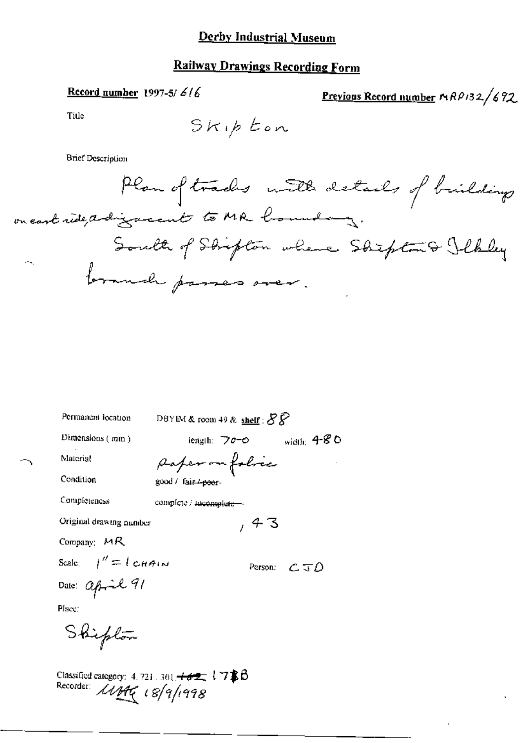### Record number 1997-5/ $6/6$

# Previous Record number MRP132/692

Title

**Brief Description** 

DBYIM & room 49 & shelf :  $SP$ Permanent location length:  $70-0$  width:  $4-80$ Dimensions (mm) paper on folice Material Condition good / fair /-poor-Completeness complete / mcomplete- $, 43$ Original drawing number Company:  $MR$ Scale:  $1'' = 1$  chain Person:  $C \subseteq D$ Date: april 91<br>Place: Shipton

Classified category: 4.721.301. +62 17\$B<br>Recorder:  $\mathcal{U}$  HC 18/9/1998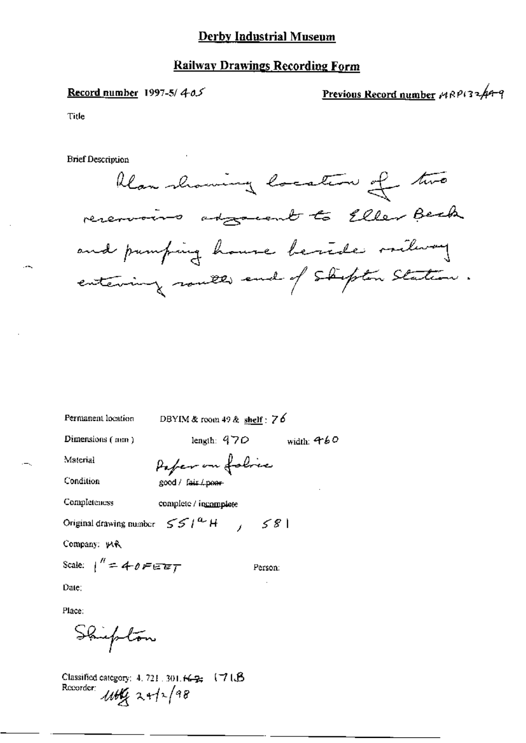#### **Railway Drawings Recording Form**

#### Record number 1997-5/ $4-0.5$

Previous Record number 1980132449

Title

**Brief Description** 



Permanent location

DBYIM & room 49 & shelf:  $76$ 

Dimensions (mm)

length:  $470$ width:  $460$ 

Person:

Material

Paper on folice good / fair / poor

Condition

Completeness complete / incomplete

Original drawing number  $S S l^{a} H$   $I S S l$ 

Company: WR

Scale:  $1'' = 40$ FEET

Date:

Place:

Shupton

Classified category: 4, 721, 301,  $\kappa_{\mathcal{B}}$  (71. $\beta$ ) Recorder:  $1166$  24/2/98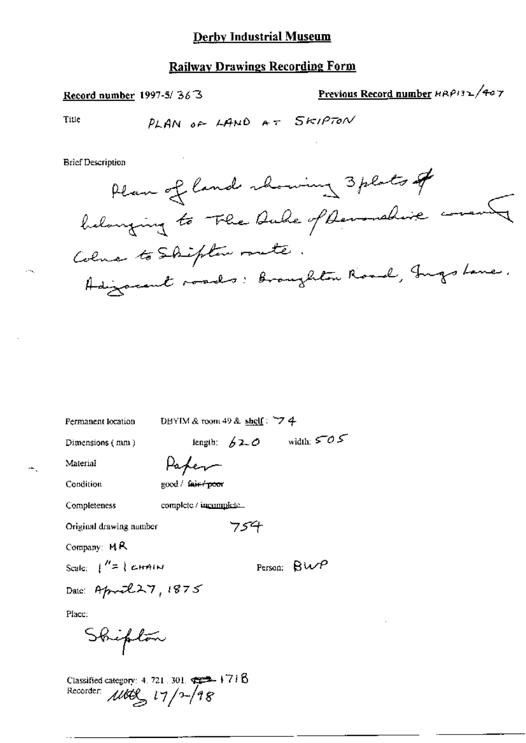Record number 1997-5/363

Previous Record number HRP132/407

 $\overline{a}$ 

Title

 $\cdots$ 

**Brief Description** 

Permanent location

DBYIM & room 49 & shelf:  $74$ 

754

Dimensions (mm)

length:  $62.0$  width:  $505$ 

Paper

Condition

Material

good / fair / poor

Completeness

complete / incomplete.

Original drawing number

Company: MR

Scale:  $\int^{\prime\prime} = \int c \sinh w$ 

Person:  $\beta W$ 

Date: April 27, 1875

Place:

 $\cdot$   $\cdot$ 

Shipton

Classified category: 4.721.301.  $\overline{=}$  +718<br>Recorder:  $\mu$ UCL  $17/2$  48